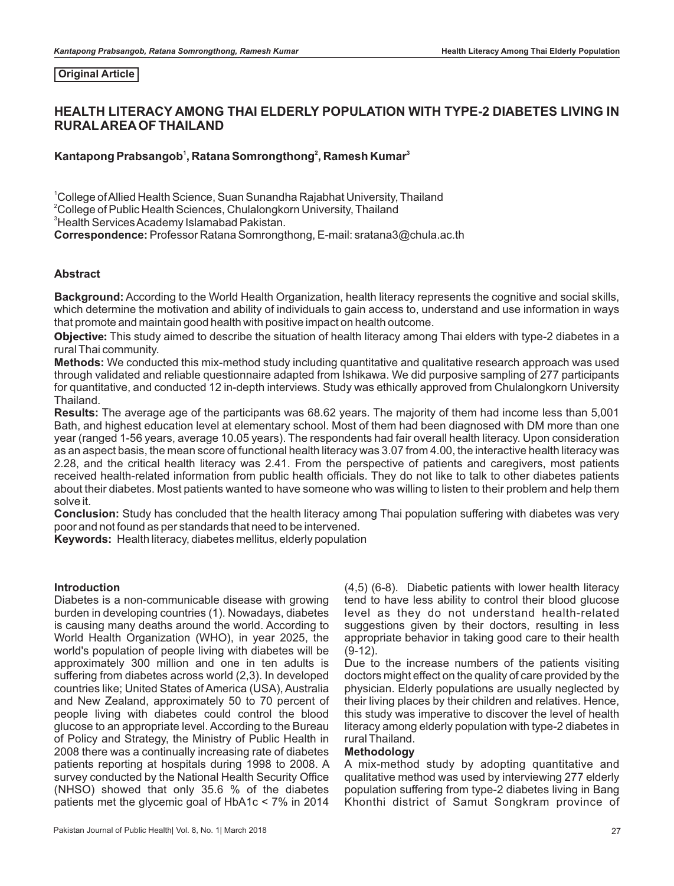#### **Original Article**

# **HEALTH LITERACY AMONG THAI ELDERLY POPULATION WITH TYPE-2 DIABETES LIVING IN RURALAREAOF THAILAND**

#### **<sup>1</sup> <sup>2</sup> <sup>3</sup> Kantapong Prabsangob , Ratana Somrongthong , Ramesh Kumar**

<sup>1</sup>College of Allied Health Science, Suan Sunandha Rajabhat University, Thailand  $^{2}$ College of Public Health Sciences, Chulalongkorn University, Thailand <sup>3</sup>Health Services Academy Islamabad Pakistan.

**Correspondence:** Professor Ratana Somrongthong, E-mail: sratana3@chula.ac.th

#### **Abstract**

**Background:** According to the World Health Organization, health literacy represents the cognitive and social skills, which determine the motivation and ability of individuals to gain access to, understand and use information in ways that promote and maintain good health with positive impact on health outcome.

**Objective:** This study aimed to describe the situation of health literacy among Thai elders with type-2 diabetes in a rural Thai community.

**Methods:** We conducted this mix-method study including quantitative and qualitative research approach was used through validated and reliable questionnaire adapted from Ishikawa. We did purposive sampling of 277 participants for quantitative, and conducted 12 in-depth interviews. Study was ethically approved from Chulalongkorn University Thailand.

**Results:** The average age of the participants was 68.62 years. The majority of them had income less than 5,001 Bath, and highest education level at elementary school. Most of them had been diagnosed with DM more than one year (ranged 1-56 years, average 10.05 years). The respondents had fair overall health literacy. Upon consideration as an aspect basis, the mean score of functional health literacy was 3.07 from 4.00, the interactive health literacy was 2.28, and the critical health literacy was 2.41. From the perspective of patients and caregivers, most patients received health-related information from public health officials. They do not like to talk to other diabetes patients about their diabetes. Most patients wanted to have someone who was willing to listen to their problem and help them solve it.

**Conclusion:** Study has concluded that the health literacy among Thai population suffering with diabetes was very poor and not found as per standards that need to be intervened.

**Keywords:** Health literacy, diabetes mellitus, elderly population

#### **Introduction**

Diabetes is a non-communicable disease with growing burden in developing countries (1). Nowadays, diabetes is causing many deaths around the world. According to World Health Organization (WHO), in year 2025, the world's population of people living with diabetes will be approximately 300 million and one in ten adults is suffering from diabetes across world (2,3). In developed countries like; United States of America (USA), Australia and New Zealand, approximately 50 to 70 percent of people living with diabetes could control the blood glucose to an appropriate level. According to the Bureau of Policy and Strategy, the Ministry of Public Health in 2008 there was a continually increasing rate of diabetes patients reporting at hospitals during 1998 to 2008. A survey conducted by the National Health Security Office (NHSO) showed that only 35.6 % of the diabetes patients met the glycemic goal of HbA1c < 7% in 2014 (4,5) (6-8). Diabetic patients with lower health literacy tend to have less ability to control their blood glucose level as they do not understand health-related suggestions given by their doctors, resulting in less appropriate behavior in taking good care to their health (9-12).

Due to the increase numbers of the patients visiting doctors might effect on the quality of care provided by the physician. Elderly populations are usually neglected by their living places by their children and relatives. Hence, this study was imperative to discover the level of health literacy among elderly population with type-2 diabetes in rural Thailand.

### **Methodology**

A mix-method study by adopting quantitative and qualitative method was used by interviewing 277 elderly population suffering from type-2 diabetes living in Bang Khonthi district of Samut Songkram province of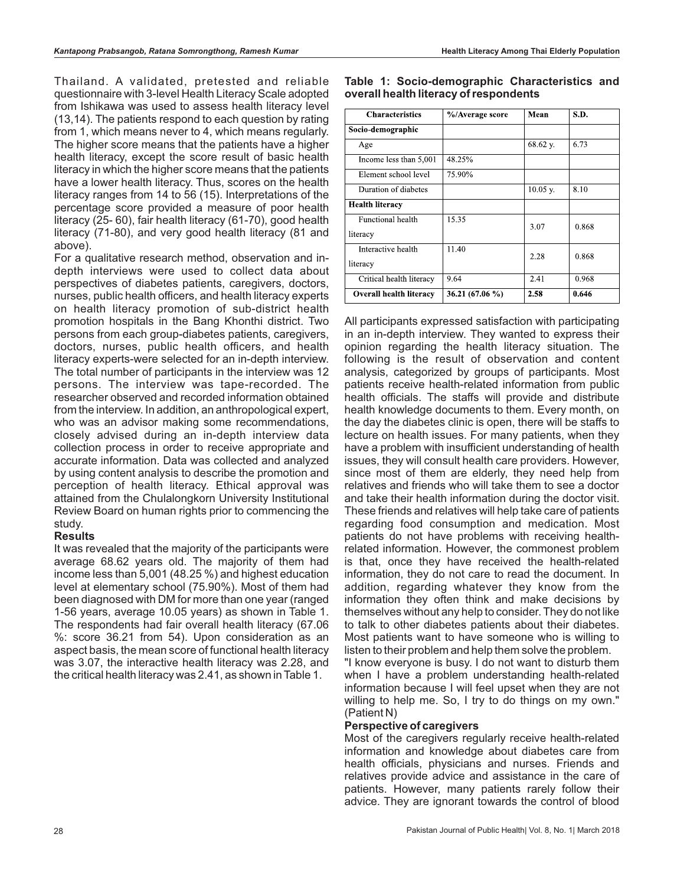Thailand. A validated, pretested and reliable questionnaire with 3-level Health Literacy Scale adopted from Ishikawa was used to assess health literacy level (13,14). The patients respond to each question by rating from 1, which means never to 4, which means regularly. The higher score means that the patients have a higher health literacy, except the score result of basic health literacy in which the higher score means that the patients have a lower health literacy. Thus, scores on the health literacy ranges from 14 to 56 (15). Interpretations of the percentage score provided a measure of poor health literacy (25- 60), fair health literacy (61-70), good health literacy (71-80), and very good health literacy (81 and above).

For a qualitative research method, observation and indepth interviews were used to collect data about perspectives of diabetes patients, caregivers, doctors, nurses, public health officers, and health literacy experts on health literacy promotion of sub-district health promotion hospitals in the Bang Khonthi district. Two persons from each group-diabetes patients, caregivers, doctors, nurses, public health officers, and health literacy experts-were selected for an in-depth interview. The total number of participants in the interview was 12 persons. The interview was tape-recorded. The researcher observed and recorded information obtained from the interview. In addition, an anthropological expert, who was an advisor making some recommendations, closely advised during an in-depth interview data collection process in order to receive appropriate and accurate information. Data was collected and analyzed by using content analysis to describe the promotion and perception of health literacy. Ethical approval was attained from the Chulalongkorn University Institutional Review Board on human rights prior to commencing the study.

### **Results**

It was revealed that the majority of the participants were average 68.62 years old. The majority of them had income less than 5,001 (48.25 %) and highest education level at elementary school (75.90%). Most of them had been diagnosed with DM for more than one year (ranged 1-56 years, average 10.05 years) as shown in Table 1. The respondents had fair overall health literacy (67.06 %: score 36.21 from 54). Upon consideration as an aspect basis, the mean score of functional health literacy was 3.07, the interactive health literacy was 2.28, and the critical health literacy was 2.41, as shown in Table 1.

| <b>Characteristics</b>   | %/Average score | Mean       | S.D.  |
|--------------------------|-----------------|------------|-------|
| Socio-demographic        |                 |            |       |
| Age                      |                 | 68.62 y.   | 6.73  |
| Income less than 5,001   | 48.25%          |            |       |
| Element school level     | 75.90%          |            |       |
| Duration of diabetes     |                 | $10.05$ y. | 8.10  |
| <b>Health literacy</b>   |                 |            |       |
| Functional health        | 15.35           | 3.07       | 0.868 |
| literacy                 |                 |            |       |
| Interactive health       | 11.40           | 2.28       | 0.868 |
| literacy                 |                 |            |       |
| Critical health literacy | 9.64            | 2.41       | 0.968 |
| Overall health literacy  | 36.21 (67.06 %) | 2.58       | 0.646 |

#### **Table 1: Socio-demographic Characteristics and overall health literacy of respondents**

All participants expressed satisfaction with participating in an in-depth interview. They wanted to express their opinion regarding the health literacy situation. The following is the result of observation and content analysis, categorized by groups of participants. Most patients receive health-related information from public health officials. The staffs will provide and distribute health knowledge documents to them. Every month, on the day the diabetes clinic is open, there will be staffs to lecture on health issues. For many patients, when they have a problem with insufficient understanding of health issues, they will consult health care providers. However, since most of them are elderly, they need help from relatives and friends who will take them to see a doctor and take their health information during the doctor visit. These friends and relatives will help take care of patients regarding food consumption and medication. Most patients do not have problems with receiving healthrelated information. However, the commonest problem is that, once they have received the health-related information, they do not care to read the document. In addition, regarding whatever they know from the information they often think and make decisions by themselves without any help to consider. They do not like to talk to other diabetes patients about their diabetes. Most patients want to have someone who is willing to listen to their problem and help them solve the problem.

"I know everyone is busy. I do not want to disturb them when I have a problem understanding health-related information because I will feel upset when they are not willing to help me. So, I try to do things on my own." (Patient N)

### **Perspective of caregivers**

Most of the caregivers regularly receive health-related information and knowledge about diabetes care from health officials, physicians and nurses. Friends and relatives provide advice and assistance in the care of patients. However, many patients rarely follow their advice. They are ignorant towards the control of blood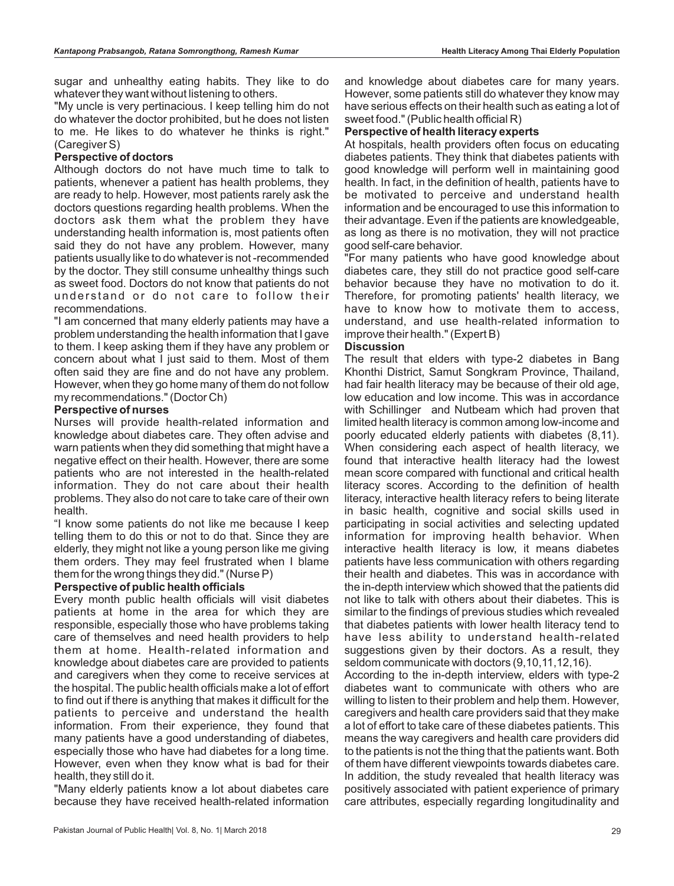sugar and unhealthy eating habits. They like to do whatever they want without listening to others.

"My uncle is very pertinacious. I keep telling him do not do whatever the doctor prohibited, but he does not listen to me. He likes to do whatever he thinks is right." (Caregiver S)

### **Perspective of doctors**

Although doctors do not have much time to talk to patients, whenever a patient has health problems, they are ready to help. However, most patients rarely ask the doctors questions regarding health problems. When the doctors ask them what the problem they have understanding health information is, most patients often said they do not have any problem. However, many patients usually like to do whatever is not -recommended by the doctor. They still consume unhealthy things such as sweet food. Doctors do not know that patients do not understand or do not care to follow their recommendations.

"I am concerned that many elderly patients may have a problem understanding the health information that I gave to them. I keep asking them if they have any problem or concern about what I just said to them. Most of them often said they are fine and do not have any problem. However, when they go home many of them do not follow my recommendations." (Doctor Ch)

# **Perspective of nurses**

Nurses will provide health-related information and knowledge about diabetes care. They often advise and warn patients when they did something that might have a negative effect on their health. However, there are some patients who are not interested in the health-related information. They do not care about their health problems. They also do not care to take care of their own health.

"I know some patients do not like me because I keep telling them to do this or not to do that. Since they are elderly, they might not like a young person like me giving them orders. They may feel frustrated when I blame them for the wrong things they did." (Nurse P)

### **Perspective of public health officials**

Every month public health officials will visit diabetes patients at home in the area for which they are responsible, especially those who have problems taking care of themselves and need health providers to help them at home. Health-related information and knowledge about diabetes care are provided to patients and caregivers when they come to receive services at the hospital. The public health officials make a lot of effort to find out if there is anything that makes it difficult for the patients to perceive and understand the health information. From their experience, they found that many patients have a good understanding of diabetes, especially those who have had diabetes for a long time. However, even when they know what is bad for their health, they still do it.

"Many elderly patients know a lot about diabetes care because they have received health-related information and knowledge about diabetes care for many years. However, some patients still do whatever they know may have serious effects on their health such as eating a lot of sweet food." (Public health official R)

## **Perspective of health literacy experts**

At hospitals, health providers often focus on educating diabetes patients. They think that diabetes patients with good knowledge will perform well in maintaining good health. In fact, in the definition of health, patients have to be motivated to perceive and understand health information and be encouraged to use this information to their advantage. Even if the patients are knowledgeable, as long as there is no motivation, they will not practice good self-care behavior.

"For many patients who have good knowledge about diabetes care, they still do not practice good self-care behavior because they have no motivation to do it. Therefore, for promoting patients' health literacy, we have to know how to motivate them to access, understand, and use health-related information to improve their health." (Expert B)

# **Discussion**

The result that elders with type-2 diabetes in Bang Khonthi District, Samut Songkram Province, Thailand, had fair health literacy may be because of their old age, low education and low income. This was in accordance with Schillinger and Nutbeam which had proven that limited health literacy is common among low-income and poorly educated elderly patients with diabetes (8,11). When considering each aspect of health literacy, we found that interactive health literacy had the lowest mean score compared with functional and critical health literacy scores. According to the definition of health literacy, interactive health literacy refers to being literate in basic health, cognitive and social skills used in participating in social activities and selecting updated information for improving health behavior. When interactive health literacy is low, it means diabetes patients have less communication with others regarding their health and diabetes. This was in accordance with the in-depth interview which showed that the patients did not like to talk with others about their diabetes. This is similar to the findings of previous studies which revealed that diabetes patients with lower health literacy tend to have less ability to understand health-related suggestions given by their doctors. As a result, they seldom communicate with doctors (9,10,11,12,16).

According to the in-depth interview, elders with type-2 diabetes want to communicate with others who are willing to listen to their problem and help them. However, caregivers and health care providers said that they make a lot of effort to take care of these diabetes patients. This means the way caregivers and health care providers did to the patients is not the thing that the patients want. Both of them have different viewpoints towards diabetes care. In addition, the study revealed that health literacy was positively associated with patient experience of primary care attributes, especially regarding longitudinality and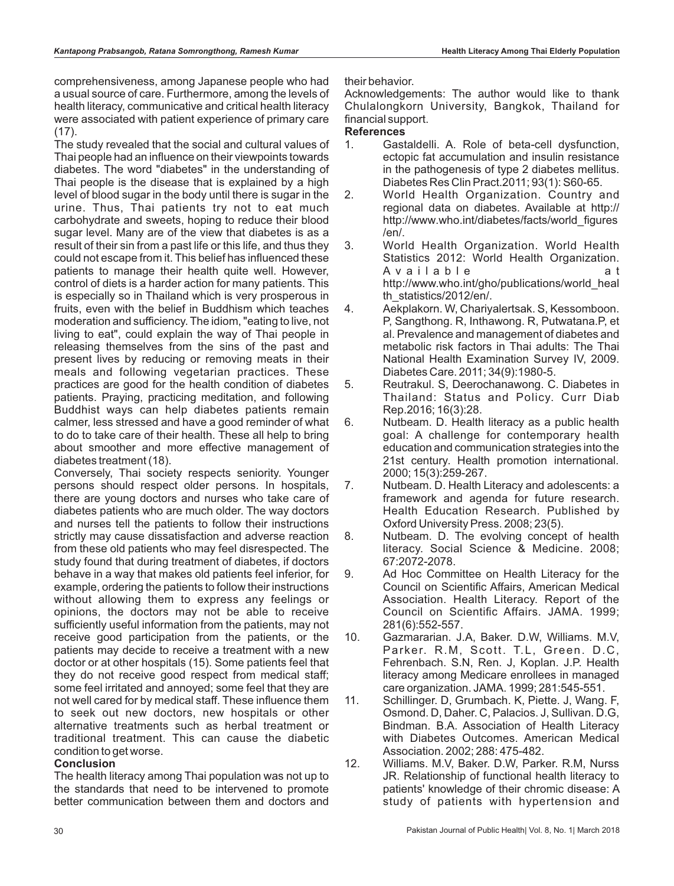comprehensiveness, among Japanese people who had a usual source of care. Furthermore, among the levels of health literacy, communicative and critical health literacy were associated with patient experience of primary care (17).

The study revealed that the social and cultural values of Thai people had an influence on their viewpoints towards diabetes. The word "diabetes" in the understanding of Thai people is the disease that is explained by a high level of blood sugar in the body until there is sugar in the urine. Thus, Thai patients try not to eat much carbohydrate and sweets, hoping to reduce their blood sugar level. Many are of the view that diabetes is as a result of their sin from a past life or this life, and thus they could not escape from it. This belief has influenced these patients to manage their health quite well. However, control of diets is a harder action for many patients. This is especially so in Thailand which is very prosperous in fruits, even with the belief in Buddhism which teaches moderation and sufficiency. The idiom, "eating to live, not living to eat", could explain the way of Thai people in releasing themselves from the sins of the past and present lives by reducing or removing meats in their meals and following vegetarian practices. These practices are good for the health condition of diabetes patients. Praying, practicing meditation, and following Buddhist ways can help diabetes patients remain calmer, less stressed and have a good reminder of what to do to take care of their health. These all help to bring about smoother and more effective management of diabetes treatment (18).

Conversely, Thai society respects seniority. Younger persons should respect older persons. In hospitals, there are young doctors and nurses who take care of diabetes patients who are much older. The way doctors and nurses tell the patients to follow their instructions strictly may cause dissatisfaction and adverse reaction from these old patients who may feel disrespected. The study found that during treatment of diabetes, if doctors behave in a way that makes old patients feel inferior, for example, ordering the patients to follow their instructions without allowing them to express any feelings or opinions, the doctors may not be able to receive sufficiently useful information from the patients, may not receive good participation from the patients, or the patients may decide to receive a treatment with a new doctor or at other hospitals (15). Some patients feel that they do not receive good respect from medical staff; some feel irritated and annoyed; some feel that they are not well cared for by medical staff. These influence them to seek out new doctors, new hospitals or other alternative treatments such as herbal treatment or traditional treatment. This can cause the diabetic condition to get worse.

### **Conclusion**

The health literacy among Thai population was not up to the standards that need to be intervened to promote better communication between them and doctors and their behavior.

Acknowledgements: The author would like to thank Chulalongkorn University, Bangkok, Thailand for financial support.

### **References**

- 1. Gastaldelli. A. Role of beta-cell dysfunction, ectopic fat accumulation and insulin resistance in the pathogenesis of type 2 diabetes mellitus. Diabetes Res Clin Pract.2011; 93(1): S60-65.
- 2. World Health Organization. Country and regional data on diabetes. Available at http:// http://www.who.int/diabetes/facts/world\_figures /en/.
- 3. World Health Organization. World Health Statistics 2012: World Health Organization. A v a i l a b l e a t http://www.who.int/gho/publications/world\_heal th\_statistics/2012/en/.
- 4. Aekplakorn. W, Chariyalertsak. S, Kessomboon. P, Sangthong. R, Inthawong. R, Putwatana.P, et al. Prevalence and management of diabetes and metabolic risk factors in Thai adults: The Thai National Health Examination Survey IV, 2009. Diabetes Care. 2011; 34(9):1980-5.
- 5. Reutrakul. S, Deerochanawong. C. Diabetes in Thailand: Status and Policy. Curr Diab Rep.2016; 16(3):28.
- 6. Nutbeam. D. Health literacy as a public health goal: A challenge for contemporary health education and communication strategies into the 21st century. Health promotion international. 2000; 15(3):259-267.
- 7. Nutbeam. D. Health Literacy and adolescents: a framework and agenda for future research. Health Education Research. Published by Oxford University Press. 2008; 23(5).
- 8. Nutbeam. D. The evolving concept of health literacy. Social Science & Medicine. 2008; 67:2072-2078.
- 9. Ad Hoc Committee on Health Literacy for the Council on Scientific Affairs, American Medical Association. Health Literacy. Report of the Council on Scientific Affairs. JAMA. 1999; 281(6):552-557.
- 10. Gazmararian. J.A, Baker. D.W, Williams. M.V, Parker. R.M, Scott. T.L, Green. D.C, Fehrenbach. S.N, Ren. J, Koplan. J.P. Health literacy among Medicare enrollees in managed care organization. JAMA. 1999; 281:545-551.
- 11. Schillinger. D, Grumbach. K, Piette. J, Wang. F, Osmond. D, Daher. C, Palacios. J, Sullivan. D.G, Bindman. B.A. Association of Health Literacy with Diabetes Outcomes. American Medical Association. 2002; 288: 475-482.
- 12. Williams. M.V, Baker. D.W, Parker. R.M, Nurss JR. Relationship of functional health literacy to patients' knowledge of their chromic disease: A study of patients with hypertension and